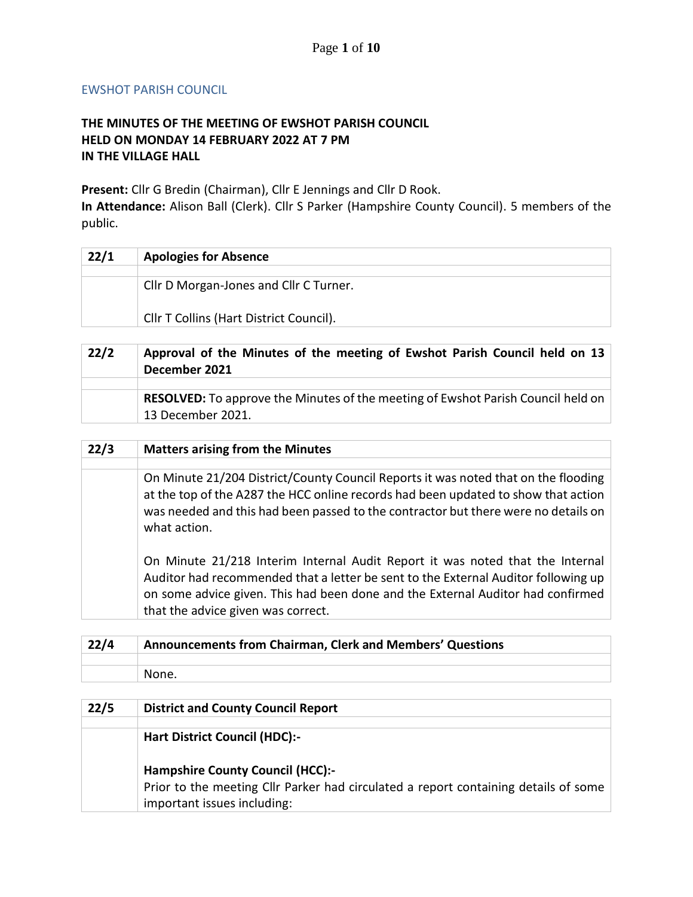## EWSHOT PARISH COUNCIL

## **THE MINUTES OF THE MEETING OF EWSHOT PARISH COUNCIL HELD ON MONDAY 14 FEBRUARY 2022 AT 7 PM IN THE VILLAGE HALL**

**Present:** Cllr G Bredin (Chairman), Cllr E Jennings and Cllr D Rook.

**In Attendance:** Alison Ball (Clerk). Cllr S Parker (Hampshire County Council). 5 members of the public.

| 22/1 | <b>Apologies for Absence</b>            |
|------|-----------------------------------------|
|      |                                         |
|      | Cllr D Morgan-Jones and Cllr C Turner.  |
|      | Cllr T Collins (Hart District Council). |

| 22/2 | Approval of the Minutes of the meeting of Ewshot Parish Council held on 13<br>December 2021                  |
|------|--------------------------------------------------------------------------------------------------------------|
|      |                                                                                                              |
|      | <b>RESOLVED:</b> To approve the Minutes of the meeting of Ewshot Parish Council held on<br>13 December 2021. |

| 22/3 | <b>Matters arising from the Minutes</b>                                                                                                                                                                                                                                                      |
|------|----------------------------------------------------------------------------------------------------------------------------------------------------------------------------------------------------------------------------------------------------------------------------------------------|
|      |                                                                                                                                                                                                                                                                                              |
|      | On Minute 21/204 District/County Council Reports it was noted that on the flooding<br>at the top of the A287 the HCC online records had been updated to show that action<br>was needed and this had been passed to the contractor but there were no details on<br>what action.               |
|      | On Minute 21/218 Interim Internal Audit Report it was noted that the Internal<br>Auditor had recommended that a letter be sent to the External Auditor following up<br>on some advice given. This had been done and the External Auditor had confirmed<br>that the advice given was correct. |

| 22/4 | Announcements from Chairman, Clerk and Members' Questions |
|------|-----------------------------------------------------------|
|      |                                                           |
|      | None.                                                     |
|      |                                                           |

| 22/5 | <b>District and County Council Report</b>                                           |
|------|-------------------------------------------------------------------------------------|
|      |                                                                                     |
|      | <b>Hart District Council (HDC):-</b>                                                |
|      | <b>Hampshire County Council (HCC):-</b>                                             |
|      | Prior to the meeting Cllr Parker had circulated a report containing details of some |
|      | important issues including:                                                         |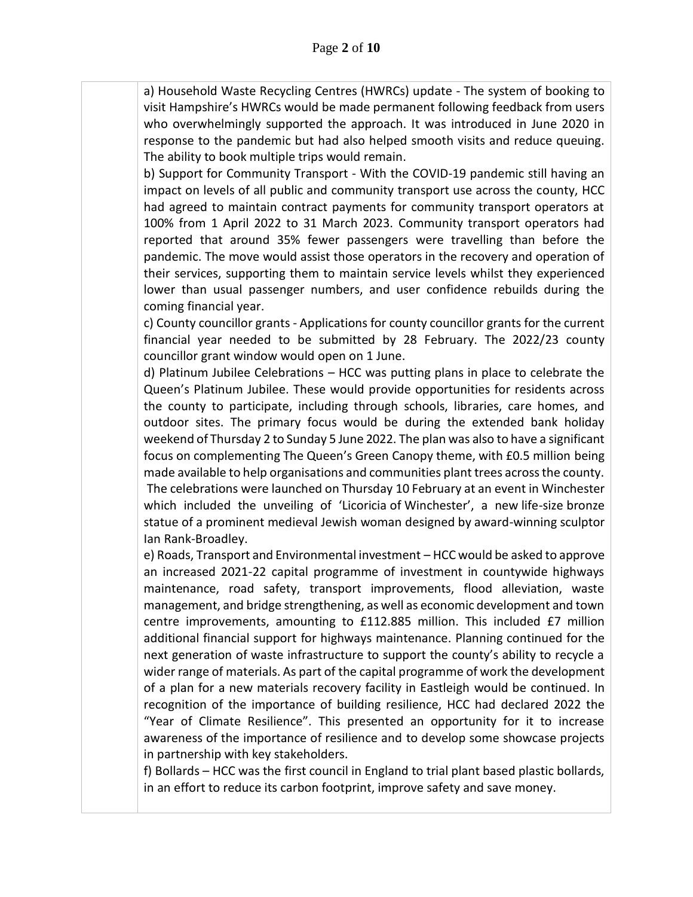a) Household Waste Recycling Centres (HWRCs) update - The system of booking to visit Hampshire's HWRCs would be made permanent following feedback from users who overwhelmingly supported the approach. It was introduced in June 2020 in response to the pandemic but had also helped smooth visits and reduce queuing. The ability to book multiple trips would remain.

b) Support for Community Transport - With the COVID-19 pandemic still having an impact on levels of all public and community transport use across the county, HCC had agreed to maintain contract payments for community transport operators at 100% from 1 April 2022 to 31 March 2023. Community transport operators had reported that around 35% fewer passengers were travelling than before the pandemic. The move would assist those operators in the recovery and operation of their services, supporting them to maintain service levels whilst they experienced lower than usual passenger numbers, and user confidence rebuilds during the coming financial year.

c) County councillor grants - Applications for county councillor grants for the current financial year needed to be submitted by 28 February. The 2022/23 county councillor grant window would open on 1 June.

d) Platinum Jubilee Celebrations – HCC was putting plans in place to celebrate the Queen's Platinum Jubilee. These would provide opportunities for residents across the county to participate, including through schools, libraries, care homes, and outdoor sites. The primary focus would be during the extended bank holiday weekend of Thursday 2 to Sunday 5 June 2022. The plan was also to have a significant focus on complementing The Queen's Green Canopy theme, with £0.5 million being made available to help organisations and communities plant trees across the county. The celebrations were launched on Thursday 10 February at an event in Winchester which included the unveiling of 'Licoricia of Winchester', a new life-size bronze statue of a prominent medieval Jewish woman designed by award-winning sculptor Ian Rank-Broadley. 

e) Roads, Transport and Environmental investment – HCC would be asked to approve an increased 2021-22 capital programme of investment in countywide highways maintenance, road safety, transport improvements, flood alleviation, waste management, and bridge strengthening, as well as economic development and town centre improvements, amounting to £112.885 million. This included £7 million additional financial support for highways maintenance. Planning continued for the next generation of waste infrastructure to support the county's ability to recycle a wider range of materials. As part of the capital programme of work the development of a plan for a new materials recovery facility in Eastleigh would be continued. In recognition of the importance of building resilience, HCC had declared 2022 the "Year of Climate Resilience". This presented an opportunity for it to increase awareness of the importance of resilience and to develop some showcase projects in partnership with key stakeholders.

f) Bollards – HCC was the first council in England to trial plant based plastic bollards, in an effort to reduce its carbon footprint, improve safety and save money.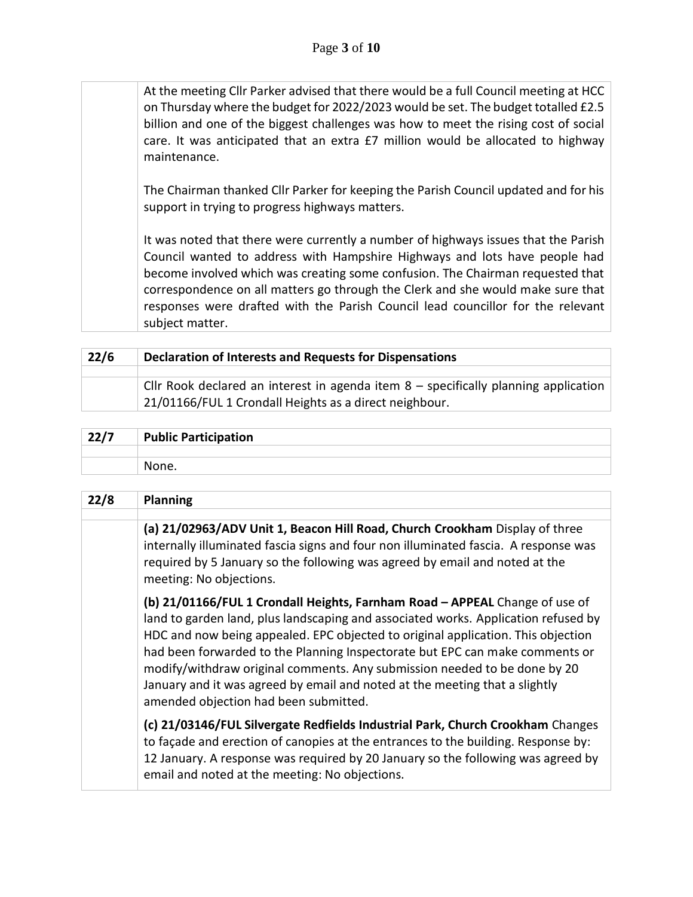At the meeting Cllr Parker advised that there would be a full Council meeting at HCC on Thursday where the budget for 2022/2023 would be set. The budget totalled £2.5 billion and one of the biggest challenges was how to meet the rising cost of social care. It was anticipated that an extra £7 million would be allocated to highway maintenance.

The Chairman thanked Cllr Parker for keeping the Parish Council updated and for his support in trying to progress highways matters.

It was noted that there were currently a number of highways issues that the Parish Council wanted to address with Hampshire Highways and lots have people had become involved which was creating some confusion. The Chairman requested that correspondence on all matters go through the Clerk and she would make sure that responses were drafted with the Parish Council lead councillor for the relevant subject matter.

| 22/6 | <b>Declaration of Interests and Requests for Dispensations</b>                        |
|------|---------------------------------------------------------------------------------------|
|      | Cllr Rook declared an interest in agenda item $8$ – specifically planning application |
|      | 21/01166/FUL 1 Crondall Heights as a direct neighbour.                                |

| 22/7 | <b>Public Participation</b> |
|------|-----------------------------|
|      |                             |
|      | None.                       |

| 22/8 | <b>Planning</b>                                                                                                                                                                                                                                                                                                                                                                                                                                                                                                                            |
|------|--------------------------------------------------------------------------------------------------------------------------------------------------------------------------------------------------------------------------------------------------------------------------------------------------------------------------------------------------------------------------------------------------------------------------------------------------------------------------------------------------------------------------------------------|
|      | (a) 21/02963/ADV Unit 1, Beacon Hill Road, Church Crookham Display of three<br>internally illuminated fascia signs and four non illuminated fascia. A response was<br>required by 5 January so the following was agreed by email and noted at the<br>meeting: No objections.                                                                                                                                                                                                                                                               |
|      | (b) 21/01166/FUL 1 Crondall Heights, Farnham Road - APPEAL Change of use of<br>land to garden land, plus landscaping and associated works. Application refused by<br>HDC and now being appealed. EPC objected to original application. This objection<br>had been forwarded to the Planning Inspectorate but EPC can make comments or<br>modify/withdraw original comments. Any submission needed to be done by 20<br>January and it was agreed by email and noted at the meeting that a slightly<br>amended objection had been submitted. |
|      | (c) 21/03146/FUL Silvergate Redfields Industrial Park, Church Crookham Changes<br>to façade and erection of canopies at the entrances to the building. Response by:<br>12 January. A response was required by 20 January so the following was agreed by<br>email and noted at the meeting: No objections.                                                                                                                                                                                                                                  |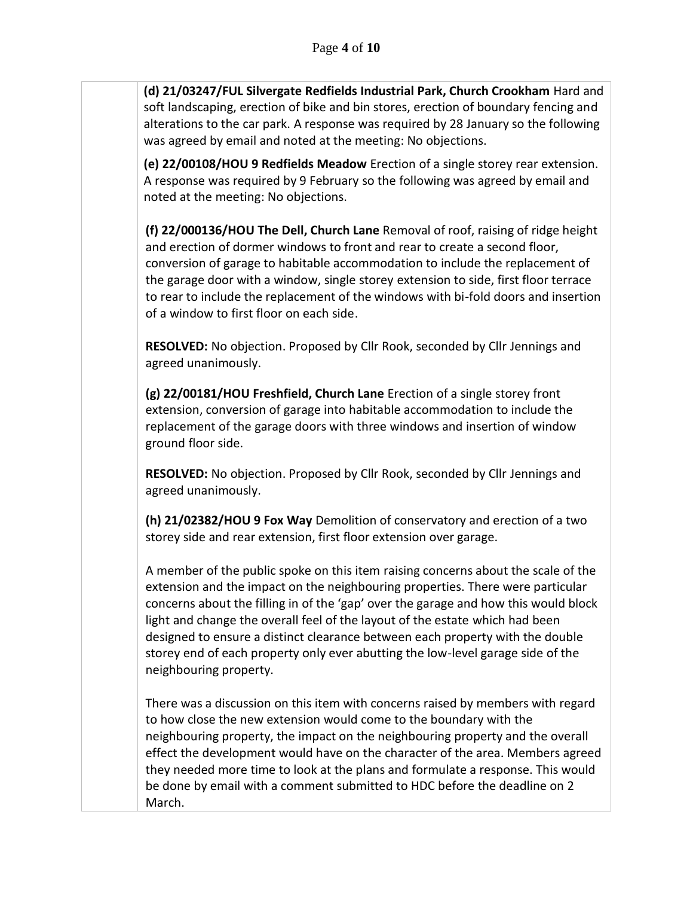**(d) 21/03247/FUL Silvergate Redfields Industrial Park, Church Crookham** Hard and soft landscaping, erection of bike and bin stores, erection of boundary fencing and alterations to the car park. A response was required by 28 January so the following was agreed by email and noted at the meeting: No objections.

**(e) 22/00108/HOU 9 Redfields Meadow** Erection of a single storey rear extension. A response was required by 9 February so the following was agreed by email and noted at the meeting: No objections.

**(f) 22/000136/HOU The Dell, Church Lane** Removal of roof, raising of ridge height and erection of dormer windows to front and rear to create a second floor, conversion of garage to habitable accommodation to include the replacement of the garage door with a window, single storey extension to side, first floor terrace to rear to include the replacement of the windows with bi-fold doors and insertion of a window to first floor on each side.

**RESOLVED:** No objection. Proposed by Cllr Rook, seconded by Cllr Jennings and agreed unanimously.

**(g) 22/00181/HOU Freshfield, Church Lane** Erection of a single storey front extension, conversion of garage into habitable accommodation to include the replacement of the garage doors with three windows and insertion of window ground floor side.

**RESOLVED:** No objection. Proposed by Cllr Rook, seconded by Cllr Jennings and agreed unanimously.

**(h) 21/02382/HOU 9 Fox Way** Demolition of conservatory and erection of a two storey side and rear extension, first floor extension over garage.

A member of the public spoke on this item raising concerns about the scale of the extension and the impact on the neighbouring properties. There were particular concerns about the filling in of the 'gap' over the garage and how this would block light and change the overall feel of the layout of the estate which had been designed to ensure a distinct clearance between each property with the double storey end of each property only ever abutting the low-level garage side of the neighbouring property.

There was a discussion on this item with concerns raised by members with regard to how close the new extension would come to the boundary with the neighbouring property, the impact on the neighbouring property and the overall effect the development would have on the character of the area. Members agreed they needed more time to look at the plans and formulate a response. This would be done by email with a comment submitted to HDC before the deadline on 2 March.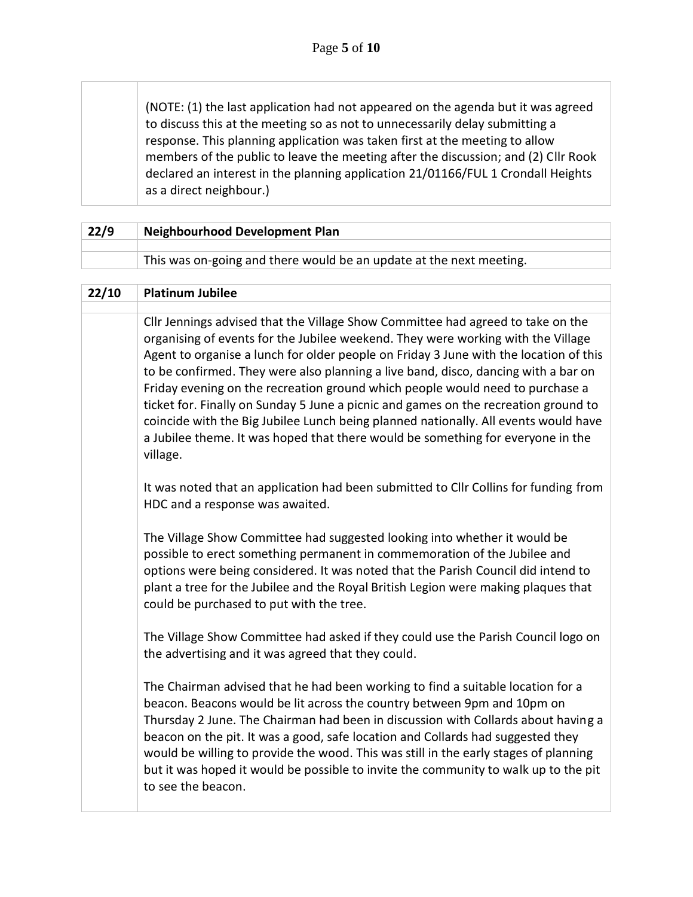(NOTE: (1) the last application had not appeared on the agenda but it was agreed to discuss this at the meeting so as not to unnecessarily delay submitting a response. This planning application was taken first at the meeting to allow members of the public to leave the meeting after the discussion; and (2) Cllr Rook declared an interest in the planning application 21/01166/FUL 1 Crondall Heights as a direct neighbour.)

| 22/9 | <b>Neighbourhood Development Plan</b>                               |
|------|---------------------------------------------------------------------|
|      |                                                                     |
|      | This was on-going and there would be an update at the next meeting. |

| 22/10 | <b>Platinum Jubilee</b>                                                                                                                                                                                                                                                                                                                                                                                                                                                                                                                                                                                                                                                                                          |
|-------|------------------------------------------------------------------------------------------------------------------------------------------------------------------------------------------------------------------------------------------------------------------------------------------------------------------------------------------------------------------------------------------------------------------------------------------------------------------------------------------------------------------------------------------------------------------------------------------------------------------------------------------------------------------------------------------------------------------|
|       |                                                                                                                                                                                                                                                                                                                                                                                                                                                                                                                                                                                                                                                                                                                  |
|       | Cllr Jennings advised that the Village Show Committee had agreed to take on the<br>organising of events for the Jubilee weekend. They were working with the Village<br>Agent to organise a lunch for older people on Friday 3 June with the location of this<br>to be confirmed. They were also planning a live band, disco, dancing with a bar on<br>Friday evening on the recreation ground which people would need to purchase a<br>ticket for. Finally on Sunday 5 June a picnic and games on the recreation ground to<br>coincide with the Big Jubilee Lunch being planned nationally. All events would have<br>a Jubilee theme. It was hoped that there would be something for everyone in the<br>village. |
|       | It was noted that an application had been submitted to CIIr Collins for funding from<br>HDC and a response was awaited.                                                                                                                                                                                                                                                                                                                                                                                                                                                                                                                                                                                          |
|       | The Village Show Committee had suggested looking into whether it would be<br>possible to erect something permanent in commemoration of the Jubilee and<br>options were being considered. It was noted that the Parish Council did intend to<br>plant a tree for the Jubilee and the Royal British Legion were making plaques that<br>could be purchased to put with the tree.                                                                                                                                                                                                                                                                                                                                    |
|       | The Village Show Committee had asked if they could use the Parish Council logo on<br>the advertising and it was agreed that they could.                                                                                                                                                                                                                                                                                                                                                                                                                                                                                                                                                                          |
|       | The Chairman advised that he had been working to find a suitable location for a<br>beacon. Beacons would be lit across the country between 9pm and 10pm on<br>Thursday 2 June. The Chairman had been in discussion with Collards about having a<br>beacon on the pit. It was a good, safe location and Collards had suggested they<br>would be willing to provide the wood. This was still in the early stages of planning<br>but it was hoped it would be possible to invite the community to walk up to the pit<br>to see the beacon.                                                                                                                                                                          |
|       |                                                                                                                                                                                                                                                                                                                                                                                                                                                                                                                                                                                                                                                                                                                  |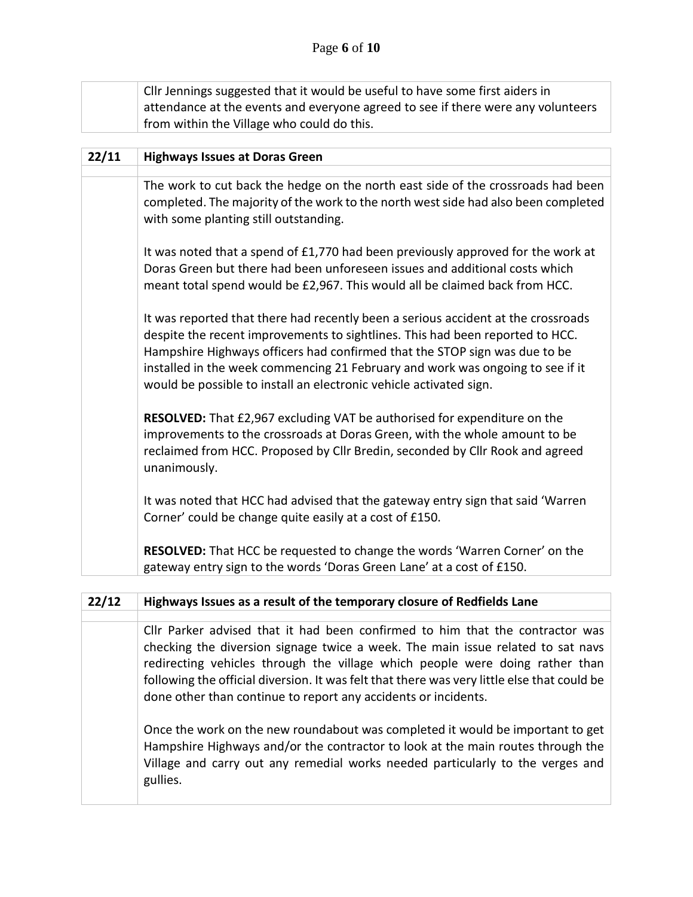|       | Cllr Jennings suggested that it would be useful to have some first aiders in<br>attendance at the events and everyone agreed to see if there were any volunteers<br>from within the Village who could do this.                                                                                                                                                                                           |
|-------|----------------------------------------------------------------------------------------------------------------------------------------------------------------------------------------------------------------------------------------------------------------------------------------------------------------------------------------------------------------------------------------------------------|
| 22/11 | <b>Highways Issues at Doras Green</b>                                                                                                                                                                                                                                                                                                                                                                    |
|       | The work to cut back the hedge on the north east side of the crossroads had been<br>completed. The majority of the work to the north west side had also been completed<br>with some planting still outstanding.                                                                                                                                                                                          |
|       | It was noted that a spend of £1,770 had been previously approved for the work at<br>Doras Green but there had been unforeseen issues and additional costs which<br>meant total spend would be £2,967. This would all be claimed back from HCC.                                                                                                                                                           |
|       | It was reported that there had recently been a serious accident at the crossroads<br>despite the recent improvements to sightlines. This had been reported to HCC.<br>Hampshire Highways officers had confirmed that the STOP sign was due to be<br>installed in the week commencing 21 February and work was ongoing to see if it<br>would be possible to install an electronic vehicle activated sign. |
|       | RESOLVED: That £2,967 excluding VAT be authorised for expenditure on the<br>improvements to the crossroads at Doras Green, with the whole amount to be<br>reclaimed from HCC. Proposed by Cllr Bredin, seconded by Cllr Rook and agreed<br>unanimously.                                                                                                                                                  |
|       | It was noted that HCC had advised that the gateway entry sign that said 'Warren<br>Corner' could be change quite easily at a cost of £150.                                                                                                                                                                                                                                                               |
|       | RESOLVED: That HCC be requested to change the words 'Warren Corner' on the<br>gateway entry sign to the words 'Doras Green Lane' at a cost of £150.                                                                                                                                                                                                                                                      |

## **22/12 Highways Issues as a result of the temporary closure of Redfields Lane**

Cllr Parker advised that it had been confirmed to him that the contractor was checking the diversion signage twice a week. The main issue related to sat navs redirecting vehicles through the village which people were doing rather than following the official diversion. It was felt that there was very little else that could be done other than continue to report any accidents or incidents.

Once the work on the new roundabout was completed it would be important to get Hampshire Highways and/or the contractor to look at the main routes through the Village and carry out any remedial works needed particularly to the verges and gullies.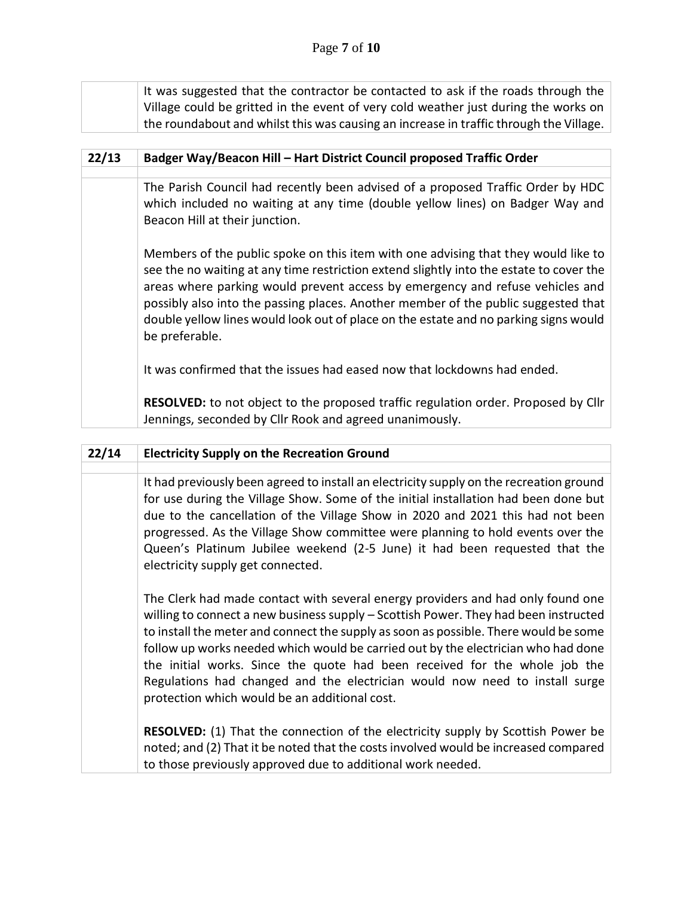| $33/12$ | <b>Dadror Way/Booson Uilly Hart District Council proposed Traffic Order</b>                                                                                              |
|---------|--------------------------------------------------------------------------------------------------------------------------------------------------------------------------|
|         | the roundabout and whilst this was causing an increase in traffic through the Village.                                                                                   |
|         | It was suggested that the contractor be contacted to ask if the roads through the<br>Village could be gritted in the event of very cold weather just during the works on |

| 22/13 | Badger Way/Beacon Hill - Hart District Council proposed Traffic Order                                                                                                                                                                                                                                                                                                                                                                                          |  |  |
|-------|----------------------------------------------------------------------------------------------------------------------------------------------------------------------------------------------------------------------------------------------------------------------------------------------------------------------------------------------------------------------------------------------------------------------------------------------------------------|--|--|
|       |                                                                                                                                                                                                                                                                                                                                                                                                                                                                |  |  |
|       | The Parish Council had recently been advised of a proposed Traffic Order by HDC<br>which included no waiting at any time (double yellow lines) on Badger Way and<br>Beacon Hill at their junction.                                                                                                                                                                                                                                                             |  |  |
|       | Members of the public spoke on this item with one advising that they would like to<br>see the no waiting at any time restriction extend slightly into the estate to cover the<br>areas where parking would prevent access by emergency and refuse vehicles and<br>possibly also into the passing places. Another member of the public suggested that<br>double yellow lines would look out of place on the estate and no parking signs would<br>be preferable. |  |  |
|       | It was confirmed that the issues had eased now that lockdowns had ended.                                                                                                                                                                                                                                                                                                                                                                                       |  |  |
|       | RESOLVED: to not object to the proposed traffic regulation order. Proposed by Cllr                                                                                                                                                                                                                                                                                                                                                                             |  |  |

Jennings, seconded by Cllr Rook and agreed unanimously.

| 22/14 | <b>Electricity Supply on the Recreation Ground</b>                                                                                                                                                                                                                                                                                                                                                                                                                                                                                                                |
|-------|-------------------------------------------------------------------------------------------------------------------------------------------------------------------------------------------------------------------------------------------------------------------------------------------------------------------------------------------------------------------------------------------------------------------------------------------------------------------------------------------------------------------------------------------------------------------|
|       |                                                                                                                                                                                                                                                                                                                                                                                                                                                                                                                                                                   |
|       | It had previously been agreed to install an electricity supply on the recreation ground<br>for use during the Village Show. Some of the initial installation had been done but<br>due to the cancellation of the Village Show in 2020 and 2021 this had not been<br>progressed. As the Village Show committee were planning to hold events over the<br>Queen's Platinum Jubilee weekend (2-5 June) it had been requested that the<br>electricity supply get connected.                                                                                            |
|       | The Clerk had made contact with several energy providers and had only found one<br>willing to connect a new business supply - Scottish Power. They had been instructed<br>to install the meter and connect the supply as soon as possible. There would be some<br>follow up works needed which would be carried out by the electrician who had done<br>the initial works. Since the quote had been received for the whole job the<br>Regulations had changed and the electrician would now need to install surge<br>protection which would be an additional cost. |
|       | <b>RESOLVED:</b> (1) That the connection of the electricity supply by Scottish Power be<br>noted; and (2) That it be noted that the costs involved would be increased compared<br>to those previously approved due to additional work needed.                                                                                                                                                                                                                                                                                                                     |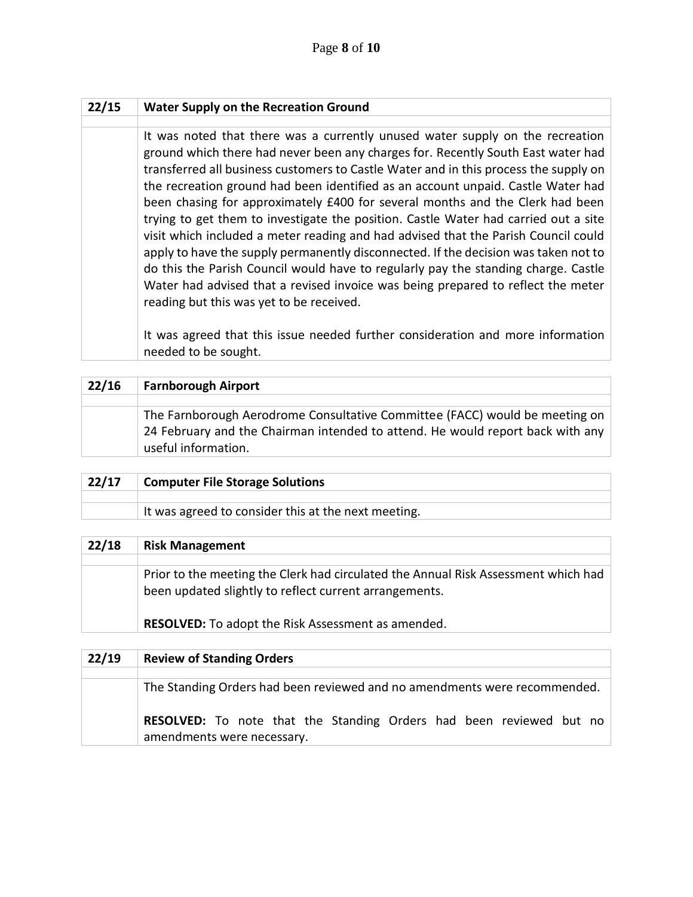| 22/15 | <b>Water Supply on the Recreation Ground</b>                                                                                                                                                                                                                                                                                                                                                                                                                                                                                                                                                                                                                                                                                                                                                                                                                                                                             |  |  |
|-------|--------------------------------------------------------------------------------------------------------------------------------------------------------------------------------------------------------------------------------------------------------------------------------------------------------------------------------------------------------------------------------------------------------------------------------------------------------------------------------------------------------------------------------------------------------------------------------------------------------------------------------------------------------------------------------------------------------------------------------------------------------------------------------------------------------------------------------------------------------------------------------------------------------------------------|--|--|
|       |                                                                                                                                                                                                                                                                                                                                                                                                                                                                                                                                                                                                                                                                                                                                                                                                                                                                                                                          |  |  |
|       | It was noted that there was a currently unused water supply on the recreation<br>ground which there had never been any charges for. Recently South East water had<br>transferred all business customers to Castle Water and in this process the supply on<br>the recreation ground had been identified as an account unpaid. Castle Water had<br>been chasing for approximately £400 for several months and the Clerk had been<br>trying to get them to investigate the position. Castle Water had carried out a site<br>visit which included a meter reading and had advised that the Parish Council could<br>apply to have the supply permanently disconnected. If the decision was taken not to<br>do this the Parish Council would have to regularly pay the standing charge. Castle<br>Water had advised that a revised invoice was being prepared to reflect the meter<br>reading but this was yet to be received. |  |  |
|       | It was agreed that this issue needed further consideration and more information<br>needed to be sought.                                                                                                                                                                                                                                                                                                                                                                                                                                                                                                                                                                                                                                                                                                                                                                                                                  |  |  |

| 22/16 | <b>Farnborough Airport</b>                                                                                                                                                           |
|-------|--------------------------------------------------------------------------------------------------------------------------------------------------------------------------------------|
|       |                                                                                                                                                                                      |
|       | The Farnborough Aerodrome Consultative Committee (FACC) would be meeting on<br>24 February and the Chairman intended to attend. He would report back with any<br>useful information. |

| 22/17 | <b>Computer File Storage Solutions</b>              |
|-------|-----------------------------------------------------|
|       |                                                     |
|       | It was agreed to consider this at the next meeting. |
|       |                                                     |

| 22/18 | <b>Risk Management</b>                                                                                                                       |
|-------|----------------------------------------------------------------------------------------------------------------------------------------------|
|       |                                                                                                                                              |
|       | Prior to the meeting the Clerk had circulated the Annual Risk Assessment which had<br>been updated slightly to reflect current arrangements. |
|       | <b>RESOLVED:</b> To adopt the Risk Assessment as amended.                                                                                    |

| 22/19 | <b>Review of Standing Orders</b>                                                                         |  |  |  |
|-------|----------------------------------------------------------------------------------------------------------|--|--|--|
|       |                                                                                                          |  |  |  |
|       | The Standing Orders had been reviewed and no amendments were recommended.                                |  |  |  |
|       | <b>RESOLVED:</b> To note that the Standing Orders had been reviewed but no<br>amendments were necessary. |  |  |  |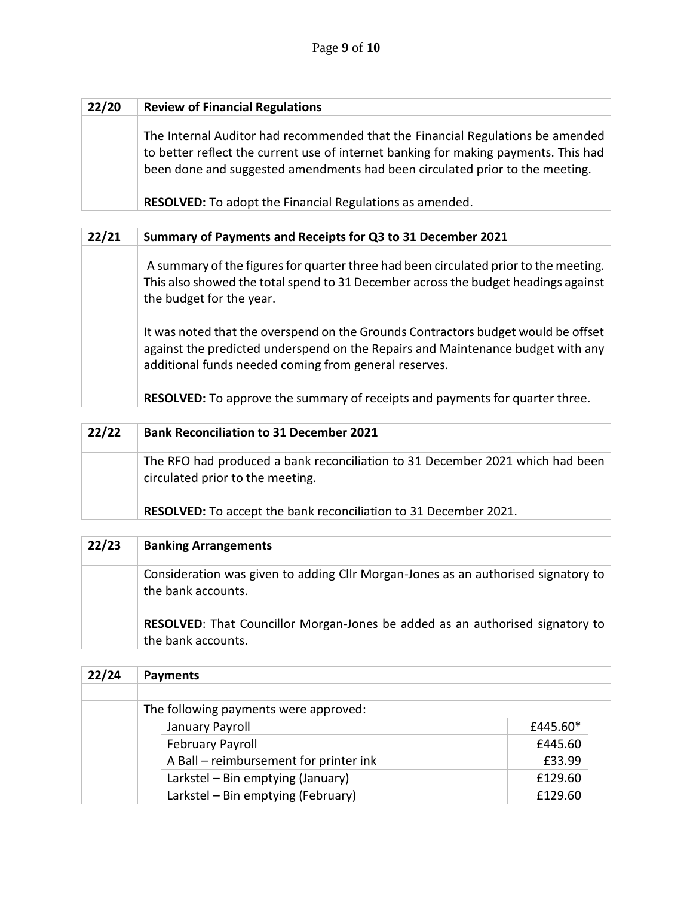| 22/20 | <b>Review of Financial Regulations</b>                                                                                                                                                                                                                |
|-------|-------------------------------------------------------------------------------------------------------------------------------------------------------------------------------------------------------------------------------------------------------|
|       |                                                                                                                                                                                                                                                       |
|       | The Internal Auditor had recommended that the Financial Regulations be amended<br>to better reflect the current use of internet banking for making payments. This had<br>been done and suggested amendments had been circulated prior to the meeting. |
|       | <b>RESOLVED:</b> To adopt the Financial Regulations as amended.                                                                                                                                                                                       |

| 22/21                                                                                                                                                                                                  | Summary of Payments and Receipts for Q3 to 31 December 2021                                                                                                                                                                   |  |  |
|--------------------------------------------------------------------------------------------------------------------------------------------------------------------------------------------------------|-------------------------------------------------------------------------------------------------------------------------------------------------------------------------------------------------------------------------------|--|--|
|                                                                                                                                                                                                        |                                                                                                                                                                                                                               |  |  |
| A summary of the figures for quarter three had been circulated prior to the meeting.<br>This also showed the total spend to 31 December across the budget headings against<br>the budget for the year. |                                                                                                                                                                                                                               |  |  |
|                                                                                                                                                                                                        | It was noted that the overspend on the Grounds Contractors budget would be offset<br>against the predicted underspend on the Repairs and Maintenance budget with any<br>additional funds needed coming from general reserves. |  |  |
|                                                                                                                                                                                                        | <b>RESOLVED:</b> To approve the summary of receipts and payments for quarter three.                                                                                                                                           |  |  |

| 22/22 | <b>Bank Reconciliation to 31 December 2021</b>                                                                    |  |
|-------|-------------------------------------------------------------------------------------------------------------------|--|
|       |                                                                                                                   |  |
|       | The RFO had produced a bank reconciliation to 31 December 2021 which had been<br>circulated prior to the meeting. |  |
|       | <b>RESOLVED:</b> To accept the bank reconciliation to 31 December 2021.                                           |  |

| 22/23 | <b>Banking Arrangements</b>                                                                                |
|-------|------------------------------------------------------------------------------------------------------------|
|       |                                                                                                            |
|       | Consideration was given to adding Cllr Morgan-Jones as an authorised signatory to<br>the bank accounts.    |
|       | <b>RESOLVED:</b> That Councillor Morgan-Jones be added as an authorised signatory to<br>the bank accounts. |

| 22/24 | <b>Payments</b>                        |          |  |
|-------|----------------------------------------|----------|--|
|       |                                        |          |  |
|       | The following payments were approved:  |          |  |
|       | January Payroll                        | £445.60* |  |
|       | <b>February Payroll</b>                | £445.60  |  |
|       | A Ball - reimbursement for printer ink | £33.99   |  |
|       | Larkstel - Bin emptying (January)      | £129.60  |  |
|       | Larkstel - Bin emptying (February)     | £129.60  |  |